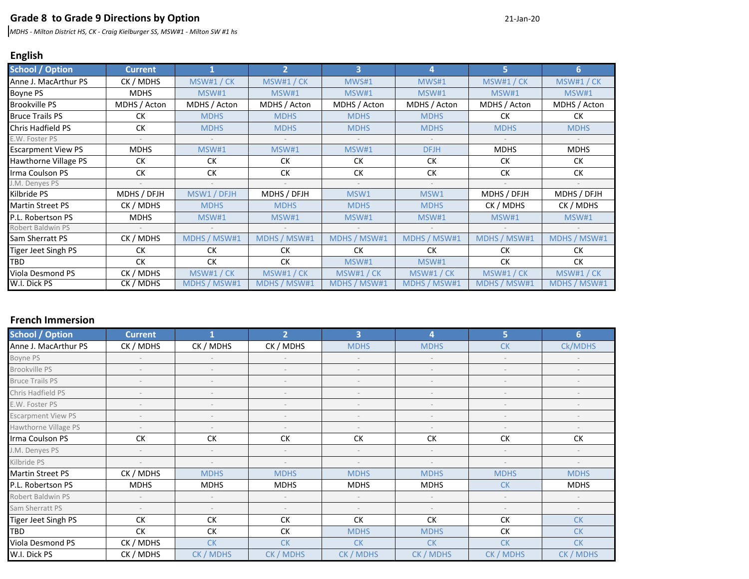### **Grade 8 to Grade 9 Directions by Option** <sup>21</sup>‐Jan‐<sup>20</sup>

*MDHS ‐ Milton District HS, CK ‐ Craig Kielburger SS, MSW#1 ‐ Milton SW #1 hs*

# **English**

| <b>School / Option</b>    | <b>Current</b>           |              | 2            | 3            | 4            | 5            | 6            |
|---------------------------|--------------------------|--------------|--------------|--------------|--------------|--------------|--------------|
| Anne J. MacArthur PS      | CK / MDHS                | MSW#1 / CK   | MSW#1 / CK   | MWS#1        | MWS#1        | MSW#1/CK     | MSW#1 / CK   |
| Boyne PS                  | <b>MDHS</b>              | MSW#1        | MSW#1        | MSW#1        | MSW#1        | MSW#1        | MSW#1        |
| <b>Brookville PS</b>      | MDHS / Acton             | MDHS / Acton | MDHS / Acton | MDHS / Acton | MDHS / Acton | MDHS / Acton | MDHS / Acton |
| <b>Bruce Trails PS</b>    | <b>CK</b>                | <b>MDHS</b>  | <b>MDHS</b>  | <b>MDHS</b>  | <b>MDHS</b>  | <b>CK</b>    | СK           |
| Chris Hadfield PS         | СK                       | <b>MDHS</b>  | <b>MDHS</b>  | <b>MDHS</b>  | <b>MDHS</b>  | <b>MDHS</b>  | <b>MDHS</b>  |
| E.W. Foster PS            |                          |              |              |              |              |              |              |
| <b>Escarpment View PS</b> | <b>MDHS</b>              | <b>MSW#1</b> | <b>MSW#1</b> | MSW#1        | <b>DFJH</b>  | <b>MDHS</b>  | <b>MDHS</b>  |
| Hawthorne Village PS      | <b>CK</b>                | СK           | СK           | <b>CK</b>    | <b>CK</b>    | <b>CK</b>    | СK           |
| Irma Coulson PS           | СK                       | СK           | СK           | <b>CK</b>    | СK           | СK           | СK           |
| I.M. Denyes PS            |                          |              |              |              |              |              |              |
| Kilbride PS               | MDHS / DFJH              | MSW1 / DFJH  | MDHS / DFJH  | MSW1         | MSW1         | MDHS / DFJH  | MDHS / DFJH  |
| <b>Martin Street PS</b>   | CK / MDHS                | <b>MDHS</b>  | <b>MDHS</b>  | <b>MDHS</b>  | <b>MDHS</b>  | CK / MDHS    | CK / MDHS    |
| P.L. Robertson PS         | <b>MDHS</b>              | <b>MSW#1</b> | <b>MSW#1</b> | MSW#1        | MSW#1        | <b>MSW#1</b> | MSW#1        |
| Robert Baldwin PS         | $\overline{\phantom{a}}$ |              |              |              | $\sim$       |              |              |
| Sam Sherratt PS           | CK / MDHS                | MDHS / MSW#1 | MDHS / MSW#1 | MDHS / MSW#1 | MDHS / MSW#1 | MDHS / MSW#1 | MDHS / MSW#1 |
| Tiger Jeet Singh PS       | СK                       | СK           | СK           | <b>CK</b>    | <b>CK</b>    | <b>CK</b>    | <b>CK</b>    |
| TBD                       | <b>CK</b>                | <b>CK</b>    | СK           | <b>MSW#1</b> | MSW#1        | <b>CK</b>    | СK           |
| Viola Desmond PS          | CK / MDHS                | MSW#1 / CK   | MSW#1/CK     | MSW#1 / CK   | MSW#1/CK     | MSW#1/CK     | MSW#1 / CK   |
| W.I. Dick PS              | CK / MDHS                | MDHS / MSW#1 | MDHS / MSW#1 | MDHS / MSW#1 | MDHS / MSW#1 | MDHS / MSW#1 | MDHS / MSW#1 |

## **French Immersion**

| <b>School / Option</b>    | <b>Current</b>           |                          | $\overline{2}$           | 3           | 4           | 5.          | 6           |
|---------------------------|--------------------------|--------------------------|--------------------------|-------------|-------------|-------------|-------------|
| Anne J. MacArthur PS      | CK / MDHS                | CK / MDHS                | CK / MDHS                | <b>MDHS</b> | <b>MDHS</b> | <b>CK</b>   | Ck/MDHS     |
| Boyne PS                  |                          |                          |                          |             |             |             |             |
| Brookville PS             |                          |                          |                          |             |             |             |             |
| <b>Bruce Trails PS</b>    |                          |                          |                          |             |             |             |             |
| Chris Hadfield PS         |                          |                          |                          |             |             |             |             |
| E.W. Foster PS            |                          |                          |                          |             |             |             |             |
| <b>Escarpment View PS</b> |                          |                          |                          |             |             |             |             |
| Hawthorne Village PS      | $\overline{\phantom{a}}$ |                          |                          |             |             |             |             |
| Irma Coulson PS           | <b>CK</b>                | СK                       | <b>CK</b>                | <b>CK</b>   | <b>CK</b>   | <b>CK</b>   | <b>CK</b>   |
| J.M. Denyes PS            |                          |                          | $\overline{\phantom{a}}$ |             | $\sim$      |             |             |
| Kilbride PS               |                          |                          | $\overline{\phantom{a}}$ |             | $\sim$      |             |             |
| <b>Martin Street PS</b>   | CK / MDHS                | <b>MDHS</b>              | <b>MDHS</b>              | <b>MDHS</b> | <b>MDHS</b> | <b>MDHS</b> | <b>MDHS</b> |
| P.L. Robertson PS         | <b>MDHS</b>              | <b>MDHS</b>              | <b>MDHS</b>              | <b>MDHS</b> | <b>MDHS</b> | <b>CK</b>   | <b>MDHS</b> |
| Robert Baldwin PS         |                          | $\overline{\phantom{a}}$ |                          |             |             |             |             |
| Sam Sherratt PS           |                          |                          | $\overline{\phantom{a}}$ |             |             |             |             |
| Tiger Jeet Singh PS       | СK                       | СK                       | СK                       | СK          | СK          | СK          | <b>CK</b>   |
| <b>TBD</b>                | <b>CK</b>                | <b>CK</b>                | <b>CK</b>                | <b>MDHS</b> | <b>MDHS</b> | СK          | <b>CK</b>   |
| Viola Desmond PS          | CK / MDHS                | <b>CK</b>                | <b>CK</b>                | <b>CK</b>   | <b>CK</b>   | <b>CK</b>   | <b>CK</b>   |
| W.I. Dick PS              | CK / MDHS                | CK / MDHS                | CK / MDHS                | CK / MDHS   | CK / MDHS   | CK / MDHS   | CK / MDHS   |